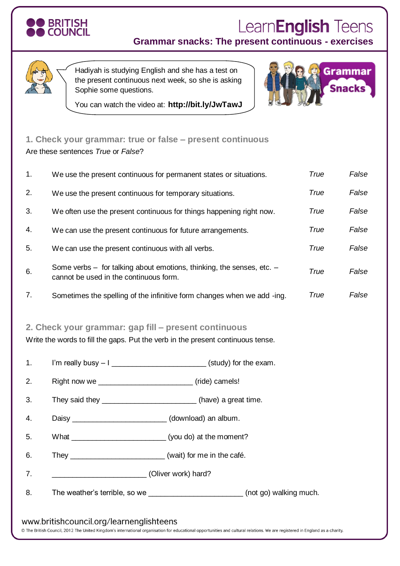

## Learn**English** Teens

**Grammar snacks: The present continuous - exercises**



Hadiyah is studying English and she has a test on the present continuous next week, so she is asking Sophie some questions.



You can watch the video at: **http://bit.ly/JwTawJ**

## **1. Check your grammar: true or false – present continuous** Are these sentences *True* or *False*?

| 1.       | True<br>We use the present continuous for permanent states or situations.                                       |                                                                                  |      | False |
|----------|-----------------------------------------------------------------------------------------------------------------|----------------------------------------------------------------------------------|------|-------|
| 2.       | We use the present continuous for temporary situations.                                                         |                                                                                  |      | False |
| 3.       | We often use the present continuous for things happening right now.                                             |                                                                                  | True | False |
| 4.       | We can use the present continuous for future arrangements.                                                      |                                                                                  | True | False |
| 5.       | We can use the present continuous with all verbs.                                                               |                                                                                  | True | False |
| 6.       | Some verbs - for talking about emotions, thinking, the senses, etc. -<br>cannot be used in the continuous form. |                                                                                  | True | False |
| 7.       |                                                                                                                 | Sometimes the spelling of the infinitive form changes when we add -ing.          | True | False |
| 1.<br>2. | Write the words to fill the gaps. Put the verb in the present continuous tense.                                 | I'm really busy $-1$ ______________________________(study) for the exam.         |      |       |
|          |                                                                                                                 |                                                                                  |      |       |
| 3.       | They said they __________________________(have) a great time.                                                   |                                                                                  |      |       |
| 4.       | Daisy ____________________________(download) an album.                                                          |                                                                                  |      |       |
| 5.       | What __________________________________(you do) at the moment?                                                  |                                                                                  |      |       |
| 6.       | They _____________________________(wait) for me in the café.                                                    |                                                                                  |      |       |
| 7.       | (Oliver work) hard?                                                                                             |                                                                                  |      |       |
| 8.       |                                                                                                                 | The weather's terrible, so we ____________________________(not go) walking much. |      |       |
|          | www.britishcouncil.org/learnenglishteens                                                                        |                                                                                  |      |       |

@ The British Council, 2012 The United Kingdom's international organisation for educational opportunities and cultural relations. We are registered in England as a charity.